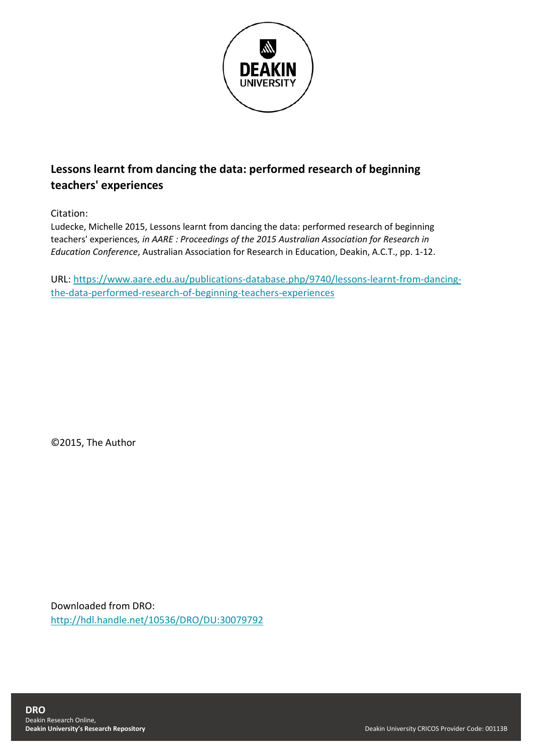

# **Lessons learnt from dancing the data: performed research of beginning teachers' experiences**

Citation:

Ludecke, Michelle 2015, Lessons learnt from dancing the data: performed research of beginning teachers' experiences*, in AARE : Proceedings of the 2015 Australian Association for Research in Education Conference*, Australian Association for Research in Education, Deakin, A.C.T., pp. 1-12.

URL: [https://www.aare.edu.au/publications-database.php/9740/lessons-learnt-from-dancing](https://www.aare.edu.au/publications-database.php/9740/lessons-learnt-from-dancing-the-data-performed-research-of-beginning-teachers-experiences)[the-data-performed-research-of-beginning-teachers-experiences](https://www.aare.edu.au/publications-database.php/9740/lessons-learnt-from-dancing-the-data-performed-research-of-beginning-teachers-experiences)

©2015, The Author

Downloaded from DRO: <http://hdl.handle.net/10536/DRO/DU:30079792>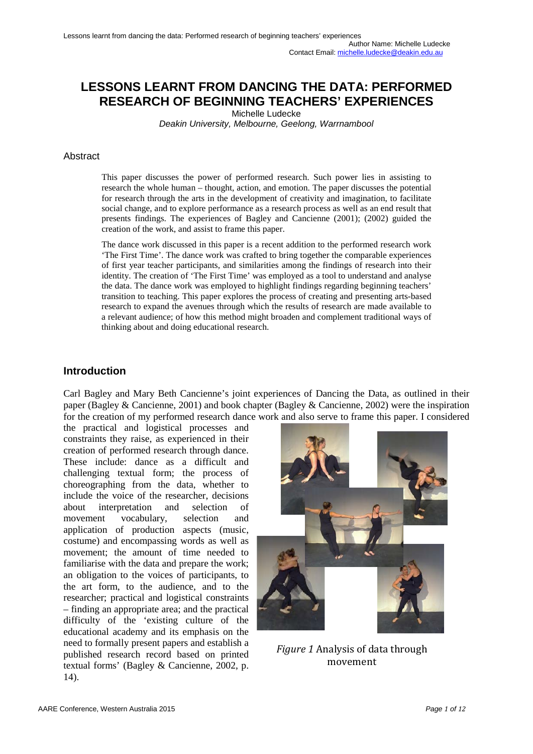# **LESSONS LEARNT FROM DANCING THE DATA: PERFORMED RESEARCH OF BEGINNING TEACHERS' EXPERIENCES**

Michelle Ludecke

*Deakin University, Melbourne, Geelong, Warrnambool*

#### Abstract

This paper discusses the power of performed research. Such power lies in assisting to research the whole human – thought, action, and emotion. The paper discusses the potential for research through the arts in the development of creativity and imagination, to facilitate social change, and to explore performance as a research process as well as an end result that presents findings. The experiences of Bagley and Cancienne (2001); (2002) guided the creation of the work, and assist to frame this paper.

The [dance work](https://www.youtube.com/watch?v=3nSRabfz6uU) discussed in this paper is a recent addition to the performed research work ['The First Time'.](https://www.youtube.com/playlist?list=PLB1ED0FDEF2AA8836) The dance work was crafted to bring together the comparable experiences of first year teacher participants, and similarities among the findings of research into their identity. The creation of 'The First Time' was employed as a tool to understand and analyse the data. The dance work was employed to highlight findings regarding beginning teachers' transition to teaching. This paper explores the process of creating and presenting arts-based research to expand the avenues through which the results of research are made available to a relevant audience; of how this method might broaden and complement traditional ways of thinking about and doing educational research.

## **Introduction**

Carl Bagley and Mary Beth Cancienne's joint experiences of Dancing the Data, as outlined in their paper (Bagley & Cancienne, 2001) and book chapter (Bagley & Cancienne, 2002) were the inspiration for the creation of my performed research dance work and also serve to frame this paper. I considered

the practical and logistical processes and constraints they raise, as experienced in their creation of performed research through dance. These include: dance as a difficult and challenging textual form; the process of choreographing from the data, whether to include the voice of the researcher, decisions about interpretation and selection of movement vocabulary, selection and application of production aspects (music, costume) and encompassing words as well as movement; the amount of time needed to familiarise with the data and prepare the work; an obligation to the voices of participants, to the art form, to the audience, and to the researcher; practical and logistical constraints – finding an appropriate area; and the practical difficulty of the 'existing culture of the educational academy and its emphasis on the need to formally present papers and establish a published research record based on printed textual forms' (Bagley & Cancienne, 2002, p. 14).



*Figure 1* Analysis of data through movement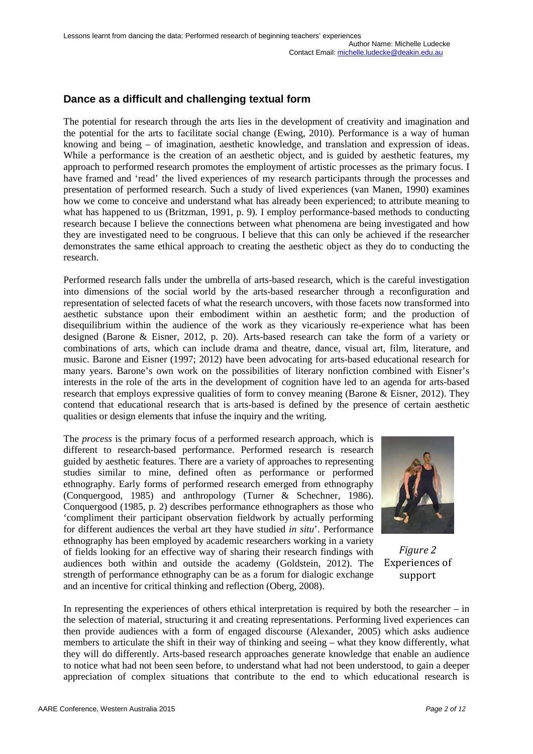# **Dance as a difficult and challenging textual form**

The potential for research through the arts lies in the development of creativity and imagination and the potential for the arts to facilitate social change (Ewing, 2010). Performance is a way of human knowing and being – of imagination, aesthetic knowledge, and translation and expression of ideas. While a performance is the creation of an aesthetic object, and is guided by aesthetic features, my approach to performed research promotes the employment of artistic processes as the primary focus. I have framed and 'read' the lived experiences of my research participants through the processes and presentation of performed research. Such a study of lived experiences (van Manen, 1990) examines how we come to conceive and understand what has already been experienced; to attribute meaning to what has happened to us (Britzman, 1991, p. 9). I employ performance-based methods to conducting research because I believe the connections between what phenomena are being investigated and how they are investigated need to be congruous. I believe that this can only be achieved if the researcher demonstrates the same ethical approach to creating the aesthetic object as they do to conducting the research.

Performed research falls under the umbrella of arts-based research, which is the careful investigation into dimensions of the social world by the arts-based researcher through a reconfiguration and representation of selected facets of what the research uncovers, with those facets now transformed into aesthetic substance upon their embodiment within an aesthetic form; and the production of disequilibrium within the audience of the work as they vicariously re-experience what has been designed (Barone & Eisner, 2012, p. 20). Arts-based research can take the form of a variety or combinations of arts, which can include drama and theatre, dance, visual art, film, literature, and music. Barone and Eisner (1997; 2012) have been advocating for arts-based educational research for many years. Barone's own work on the possibilities of literary nonfiction combined with Eisner's interests in the role of the arts in the development of cognition have led to an agenda for arts-based research that employs expressive qualities of form to convey meaning (Barone & Eisner, 2012). They contend that educational research that is arts-based is defined by the presence of certain aesthetic qualities or design elements that infuse the inquiry and the writing.

The *process* is the primary focus of a performed research approach, which is different to research-based performance. Performed research is research guided by aesthetic features. There are a variety of approaches to representing studies similar to mine, defined often as performance or performed ethnography. Early forms of performed research emerged from ethnography (Conquergood, 1985) and anthropology (Turner & Schechner, 1986). Conquergood (1985, p. 2) describes performance ethnographers as those who 'compliment their participant observation fieldwork by actually performing for different audiences the verbal art they have studied *in situ*'. Performance ethnography has been employed by academic researchers working in a variety of fields looking for an effective way of sharing their research findings with audiences both within and outside the academy (Goldstein, 2012). The strength of performance ethnography can be as a forum for dialogic exchange and an incentive for critical thinking and reflection (Oberg, 2008).



*Figure 2* Experiences of support

In representing the experiences of others ethical interpretation is required by both the researcher – in the selection of material, structuring it and creating representations. Performing lived experiences can then provide audiences with a form of engaged discourse (Alexander, 2005) which asks audience members to articulate the shift in their way of thinking and seeing – what they know differently, what they will do differently. Arts-based research approaches generate knowledge that enable an audience to notice what had not been seen before, to understand what had not been understood, to gain a deeper appreciation of complex situations that contribute to the end to which educational research is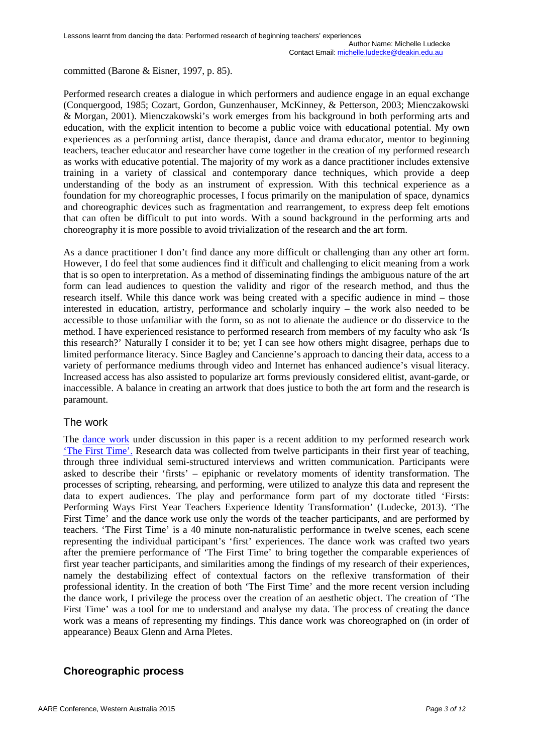committed (Barone & Eisner, 1997, p. 85).

Performed research creates a dialogue in which performers and audience engage in an equal exchange (Conquergood, 1985; Cozart, Gordon, Gunzenhauser, McKinney, & Petterson, 2003; Mienczakowski & Morgan, 2001). Mienczakowski's work emerges from his background in both performing arts and education, with the explicit intention to become a public voice with educational potential. My own experiences as a performing artist, dance therapist, dance and drama educator, mentor to beginning teachers, teacher educator and researcher have come together in the creation of my performed research as works with educative potential. The majority of my work as a dance practitioner includes extensive training in a variety of classical and contemporary dance techniques, which provide a deep understanding of the body as an instrument of expression. With this technical experience as a foundation for my choreographic processes, I focus primarily on the manipulation of space, dynamics and choreographic devices such as fragmentation and rearrangement, to express deep felt emotions that can often be difficult to put into words. With a sound background in the performing arts and choreography it is more possible to avoid trivialization of the research and the art form.

As a dance practitioner I don't find dance any more difficult or challenging than any other art form. However, I do feel that some audiences find it difficult and challenging to elicit meaning from a work that is so open to interpretation. As a method of disseminating findings the ambiguous nature of the art form can lead audiences to question the validity and rigor of the research method, and thus the research itself. While this dance work was being created with a specific audience in mind – those interested in education, artistry, performance and scholarly inquiry – the work also needed to be accessible to those unfamiliar with the form, so as not to alienate the audience or do disservice to the method. I have experienced resistance to performed research from members of my faculty who ask 'Is this research?' Naturally I consider it to be; yet I can see how others might disagree, perhaps due to limited performance literacy. Since Bagley and Cancienne's approach to dancing their data, access to a variety of performance mediums through video and Internet has enhanced audience's visual literacy. Increased access has also assisted to popularize art forms previously considered elitist, avant-garde, or inaccessible. A balance in creating an artwork that does justice to both the art form and the research is paramount.

#### The work

The [dance work](https://www.youtube.com/watch?v=3nSRabfz6uU) under discussion in this paper is a recent addition to my performed research work ['The First Time'.](https://www.youtube.com/playlist?list=PLB1ED0FDEF2AA8836) Research data was collected from twelve participants in their first year of teaching, through three individual semi-structured interviews and written communication. Participants were asked to describe their 'firsts' – epiphanic or revelatory moments of identity transformation. The processes of scripting, rehearsing, and performing, were utilized to analyze this data and represent the data to expert audiences. The play and performance form part of my doctorate titled 'Firsts: Performing Ways First Year Teachers Experience Identity Transformation' (Ludecke, 2013). 'The First Time' and the dance work use only the words of the teacher participants, and are performed by teachers. 'The First Time' is a 40 minute non-naturalistic performance in twelve scenes, each scene representing the individual participant's 'first' experiences. The dance work was crafted two years after the premiere performance of 'The First Time' to bring together the comparable experiences of first year teacher participants, and similarities among the findings of my research of their experiences, namely the destabilizing effect of contextual factors on the reflexive transformation of their professional identity. In the creation of both 'The First Time' and the more recent version including the dance work, I privilege the process over the creation of an aesthetic object. The creation of 'The First Time' was a tool for me to understand and analyse my data. The process of creating the dance work was a means of representing my findings. This dance work was choreographed on (in order of appearance) Beaux Glenn and Arna Pletes.

## **Choreographic process**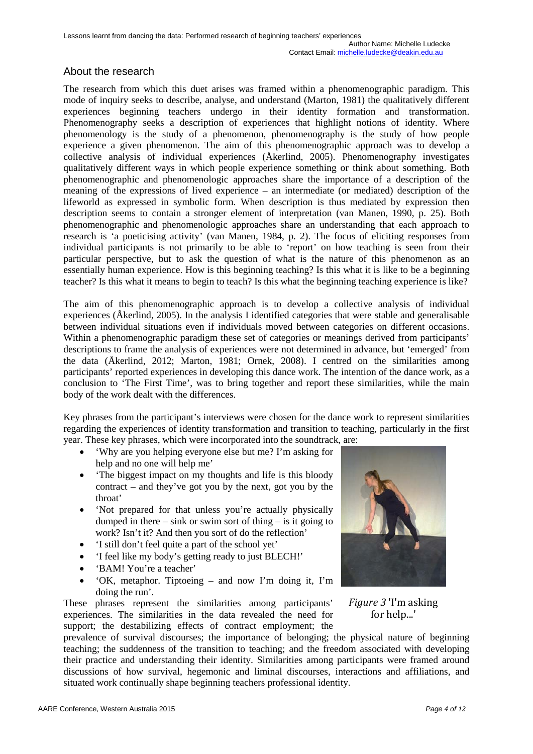## About the research

The research from which this duet arises was framed within a phenomenographic paradigm. This mode of inquiry seeks to describe, analyse, and understand (Marton, 1981) the qualitatively different experiences beginning teachers undergo in their identity formation and transformation. Phenomenography seeks a description of experiences that highlight notions of identity. Where phenomenology is the study of a phenomenon, phenomenography is the study of how people experience a given phenomenon. The aim of this phenomenographic approach was to develop a collective analysis of individual experiences (Åkerlind, 2005). Phenomenography investigates qualitatively different ways in which people experience something or think about something. Both phenomenographic and phenomenologic approaches share the importance of a description of the meaning of the expressions of lived experience – an intermediate (or mediated) description of the lifeworld as expressed in symbolic form. When description is thus mediated by expression then description seems to contain a stronger element of interpretation (van Manen, 1990, p. 25). Both phenomenographic and phenomenologic approaches share an understanding that each approach to research is 'a poeticising activity' (van Manen, 1984, p. 2). The focus of eliciting responses from individual participants is not primarily to be able to 'report' on how teaching is seen from their particular perspective, but to ask the question of what is the nature of this phenomenon as an essentially human experience. How is this beginning teaching? Is this what it is like to be a beginning teacher? Is this what it means to begin to teach? Is this what the beginning teaching experience is like?

The aim of this phenomenographic approach is to develop a collective analysis of individual experiences (Åkerlind, 2005). In the analysis I identified categories that were stable and generalisable between individual situations even if individuals moved between categories on different occasions. Within a phenomenographic paradigm these set of categories or meanings derived from participants' descriptions to frame the analysis of experiences were not determined in advance, but 'emerged' from the data (Åkerlind, 2012; Marton, 1981; Ornek, 2008). I centred on the similarities among participants' reported experiences in developing this dance work. The intention of the dance work, as a conclusion to 'The First Time', was to bring together and report these similarities, while the main body of the work dealt with the differences.

Key phrases from the participant's interviews were chosen for the dance work to represent similarities regarding the experiences of identity transformation and transition to teaching, particularly in the first year. These key phrases, which were incorporated into the soundtrack, are:

- 'Why are you helping everyone else but me? I'm asking for help and no one will help me'
- The biggest impact on my thoughts and life is this bloody contract – and they've got you by the next, got you by the throat'
- 'Not prepared for that unless you're actually physically dumped in there – sink or swim sort of thing – is it going to work? Isn't it? And then you sort of do the reflection'
- 'I still don't feel quite a part of the school yet'
- 'I feel like my body's getting ready to just BLECH!'
- 'BAM! You're a teacher'
- 'OK, metaphor. Tiptoeing and now I'm doing it, I'm doing the run'.

These phrases represent the similarities among participants' experiences. The similarities in the data revealed the need for support; the destabilizing effects of contract employment; the



*Figure 3* 'I'm asking for help...'

prevalence of survival discourses; the importance of belonging; the physical nature of beginning teaching; the suddenness of the transition to teaching; and the freedom associated with developing their practice and understanding their identity. Similarities among participants were framed around discussions of how survival, hegemonic and liminal discourses, interactions and affiliations, and situated work continually shape beginning teachers professional identity.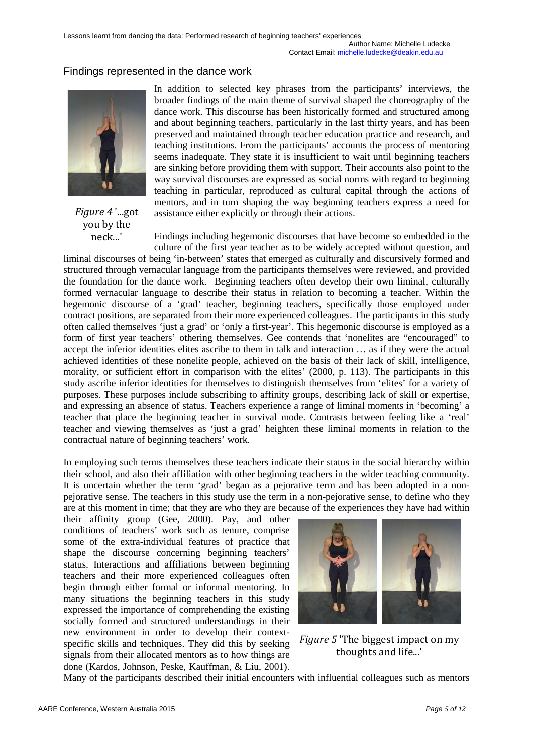## Findings represented in the dance work



*Figure 4* '...got you by the neck...'

In addition to selected key phrases from the participants' interviews, the broader findings of the main theme of survival shaped the choreography of the dance work. This discourse has been historically formed and structured among and about beginning teachers, particularly in the last thirty years, and has been preserved and maintained through teacher education practice and research, and teaching institutions. From the participants' accounts the process of mentoring seems inadequate. They state it is insufficient to wait until beginning teachers are sinking before providing them with support. Their accounts also point to the way survival discourses are expressed as social norms with regard to beginning teaching in particular, reproduced as cultural capital through the actions of mentors, and in turn shaping the way beginning teachers express a need for assistance either explicitly or through their actions.

Findings including hegemonic discourses that have become so embedded in the culture of the first year teacher as to be widely accepted without question, and

liminal discourses of being 'in-between' states that emerged as culturally and discursively formed and structured through vernacular language from the participants themselves were reviewed, and provided the foundation for the dance work. Beginning teachers often develop their own liminal, culturally formed vernacular language to describe their status in relation to becoming a teacher. Within the hegemonic discourse of a 'grad' teacher, beginning teachers, specifically those employed under contract positions, are separated from their more experienced colleagues. The participants in this study often called themselves 'just a grad' or 'only a first-year'. This hegemonic discourse is employed as a form of first year teachers' othering themselves. Gee contends that 'nonelites are "encouraged" to accept the inferior identities elites ascribe to them in talk and interaction … as if they were the actual achieved identities of these nonelite people, achieved on the basis of their lack of skill, intelligence, morality, or sufficient effort in comparison with the elites' (2000, p. 113). The participants in this study ascribe inferior identities for themselves to distinguish themselves from 'elites' for a variety of purposes. These purposes include subscribing to affinity groups, describing lack of skill or expertise, and expressing an absence of status. Teachers experience a range of liminal moments in 'becoming' a teacher that place the beginning teacher in survival mode. Contrasts between feeling like a 'real' teacher and viewing themselves as 'just a grad' heighten these liminal moments in relation to the contractual nature of beginning teachers' work.

In employing such terms themselves these teachers indicate their status in the social hierarchy within their school, and also their affiliation with other beginning teachers in the wider teaching community. It is uncertain whether the term 'grad' began as a pejorative term and has been adopted in a nonpejorative sense. The teachers in this study use the term in a non-pejorative sense, to define who they are at this moment in time; that they are who they are because of the experiences they have had within

their affinity group (Gee, 2000). Pay, and other conditions of teachers' work such as tenure, comprise some of the extra-individual features of practice that shape the discourse concerning beginning teachers' status. Interactions and affiliations between beginning teachers and their more experienced colleagues often begin through either formal or informal mentoring. In many situations the beginning teachers in this study expressed the importance of comprehending the existing socially formed and structured understandings in their new environment in order to develop their contextspecific skills and techniques. They did this by seeking signals from their allocated mentors as to how things are done (Kardos, Johnson, Peske, Kauffman, & Liu, 2001).



*Figure 5* 'The biggest impact on my thoughts and life...'

Many of the participants described their initial encounters with influential colleagues such as mentors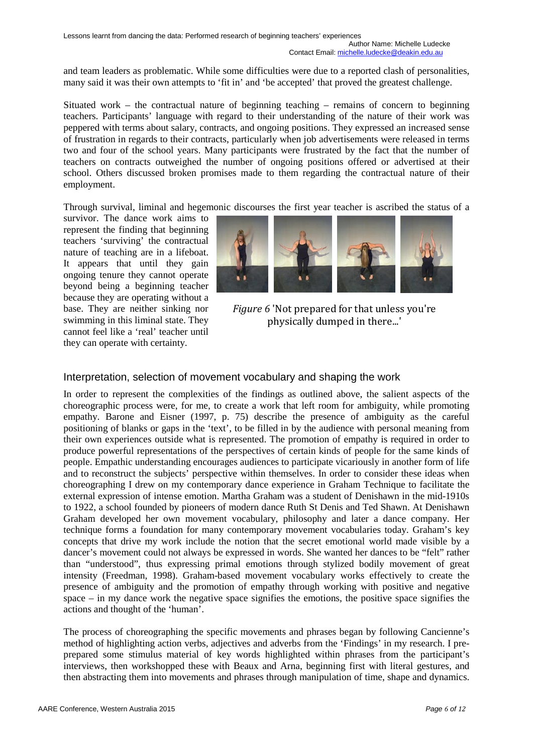and team leaders as problematic. While some difficulties were due to a reported clash of personalities, many said it was their own attempts to 'fit in' and 'be accepted' that proved the greatest challenge.

Situated work – the contractual nature of beginning teaching – remains of concern to beginning teachers. Participants' language with regard to their understanding of the nature of their work was peppered with terms about salary, contracts, and ongoing positions. They expressed an increased sense of frustration in regards to their contracts, particularly when job advertisements were released in terms two and four of the school years. Many participants were frustrated by the fact that the number of teachers on contracts outweighed the number of ongoing positions offered or advertised at their school. Others discussed broken promises made to them regarding the contractual nature of their employment.

Through survival, liminal and hegemonic discourses the first year teacher is ascribed the status of a

survivor. The dance work aims to represent the finding that beginning teachers 'surviving' the contractual nature of teaching are in a lifeboat. It appears that until they gain ongoing tenure they cannot operate beyond being a beginning teacher because they are operating without a base. They are neither sinking nor swimming in this liminal state. They cannot feel like a 'real' teacher until they can operate with certainty.



*Figure 6* 'Not prepared for that unless you're physically dumped in there...'

## Interpretation, selection of movement vocabulary and shaping the work

In order to represent the complexities of the findings as outlined above, the salient aspects of the choreographic process were, for me, to create a work that left room for ambiguity, while promoting empathy. Barone and Eisner (1997, p. 75) describe the presence of ambiguity as the careful positioning of blanks or gaps in the 'text', to be filled in by the audience with personal meaning from their own experiences outside what is represented. The promotion of empathy is required in order to produce powerful representations of the perspectives of certain kinds of people for the same kinds of people. Empathic understanding encourages audiences to participate vicariously in another form of life and to reconstruct the subjects' perspective within themselves. In order to consider these ideas when choreographing I drew on my contemporary dance experience in Graham Technique to facilitate the external expression of intense emotion. Martha Graham was a student of Denishawn in the mid-1910s to 1922, a school founded by pioneers of modern dance Ruth St Denis and Ted Shawn. At Denishawn Graham developed her own movement vocabulary, philosophy and later a dance company. Her technique forms a foundation for many contemporary movement vocabularies today. Graham's key concepts that drive my work include the notion that the secret emotional world made visible by a dancer's movement could not always be expressed in words. She wanted her dances to be "felt" rather than "understood", thus expressing primal emotions through stylized bodily movement of great intensity (Freedman, 1998). Graham-based movement vocabulary works effectively to create the presence of ambiguity and the promotion of empathy through working with positive and negative space – in my dance work the negative space signifies the emotions, the positive space signifies the actions and thought of the 'human'.

The process of choreographing the specific movements and phrases began by following Cancienne's method of highlighting action verbs, adjectives and adverbs from the 'Findings' in my research. I preprepared some stimulus material of key words highlighted within phrases from the participant's interviews, then workshopped these with Beaux and Arna, beginning first with literal gestures, and then abstracting them into movements and phrases through manipulation of time, shape and dynamics.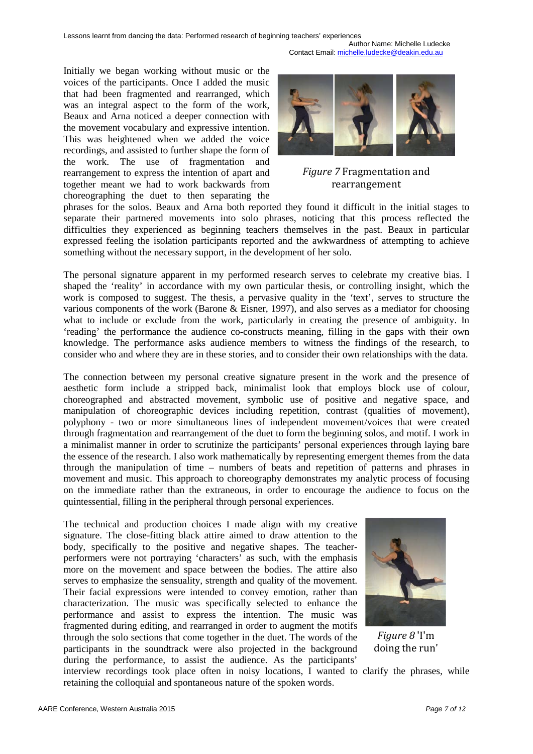Author Name: Michelle Ludecke Contact Email: [michelle.ludecke@deakin.edu.au](mailto:michelle.ludecke@deakin.edu.au)

Initially we began working without music or the voices of the participants. Once I added the music that had been fragmented and rearranged, which was an integral aspect to the form of the work, Beaux and Arna noticed a deeper connection with the movement vocabulary and expressive intention. This was heightened when we added the voice recordings, and assisted to further shape the form of the work. The use of fragmentation and rearrangement to express the intention of apart and together meant we had to work backwards from choreographing the duet to then separating the



#### *Figure 7* Fragmentation and rearrangement

phrases for the solos. Beaux and Arna both reported they found it difficult in the initial stages to separate their partnered movements into solo phrases, noticing that this process reflected the difficulties they experienced as beginning teachers themselves in the past. Beaux in particular expressed feeling the isolation participants reported and the awkwardness of attempting to achieve something without the necessary support, in the development of her solo.

The personal signature apparent in my performed research serves to celebrate my creative bias. I shaped the 'reality' in accordance with my own particular thesis, or controlling insight, which the work is composed to suggest. The thesis, a pervasive quality in the 'text', serves to structure the various components of the work (Barone & Eisner, 1997), and also serves as a mediator for choosing what to include or exclude from the work, particularly in creating the presence of ambiguity. In 'reading' the performance the audience co-constructs meaning, filling in the gaps with their own knowledge. The performance asks audience members to witness the findings of the research, to consider who and where they are in these stories, and to consider their own relationships with the data.

The connection between my personal creative signature present in the work and the presence of aesthetic form include a stripped back, minimalist look that employs block use of colour, choreographed and abstracted movement, symbolic use of positive and negative space, and manipulation of choreographic devices including repetition, contrast (qualities of movement), polyphony - two or more simultaneous lines of independent movement/voices that were created through fragmentation and rearrangement of the duet to form the beginning solos, and motif. I work in a minimalist manner in order to scrutinize the participants' personal experiences through laying bare the essence of the research. I also work mathematically by representing emergent themes from the data through the manipulation of time – numbers of beats and repetition of patterns and phrases in movement and music. This approach to choreography demonstrates my analytic process of focusing on the immediate rather than the extraneous, in order to encourage the audience to focus on the quintessential, filling in the peripheral through personal experiences.

The technical and production choices I made align with my creative signature. The close-fitting black attire aimed to draw attention to the body, specifically to the positive and negative shapes. The teacherperformers were not portraying 'characters' as such, with the emphasis more on the movement and space between the bodies. The attire also serves to emphasize the sensuality, strength and quality of the movement. Their facial expressions were intended to convey emotion, rather than characterization. The music was specifically selected to enhance the performance and assist to express the intention. The music was fragmented during editing, and rearranged in order to augment the motifs through the solo sections that come together in the duet. The words of the participants in the soundtrack were also projected in the background during the performance, to assist the audience. As the participants'



*Figure 8* 'I'm doing the run'

interview recordings took place often in noisy locations, I wanted to clarify the phrases, while retaining the colloquial and spontaneous nature of the spoken words.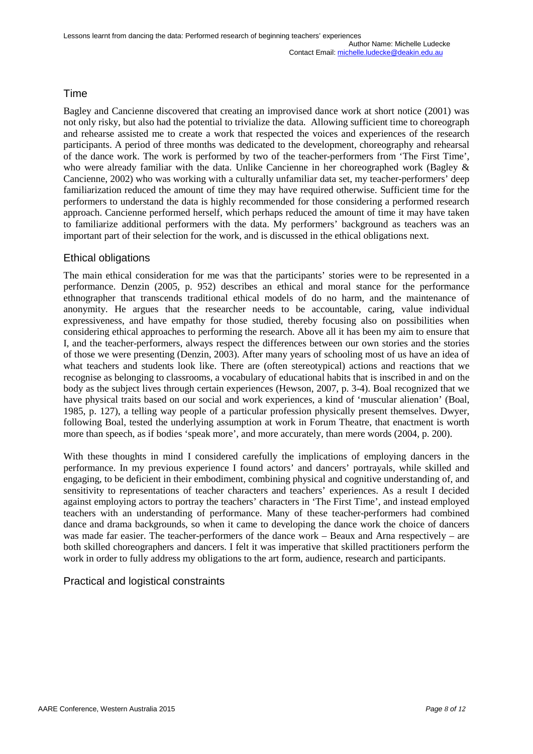## Time

Bagley and Cancienne discovered that creating an improvised dance work at short notice (2001) was not only risky, but also had the potential to trivialize the data. Allowing sufficient time to choreograph and rehearse assisted me to create a work that respected the voices and experiences of the research participants. A period of three months was dedicated to the development, choreography and rehearsal of the dance work. The work is performed by two of the teacher-performers from 'The First Time', who were already familiar with the data. Unlike Cancienne in her choreographed work (Bagley & Cancienne, 2002) who was working with a culturally unfamiliar data set, my teacher-performers' deep familiarization reduced the amount of time they may have required otherwise. Sufficient time for the performers to understand the data is highly recommended for those considering a performed research approach. Cancienne performed herself, which perhaps reduced the amount of time it may have taken to familiarize additional performers with the data. My performers' background as teachers was an important part of their selection for the work, and is discussed in the ethical obligations next.

## Ethical obligations

The main ethical consideration for me was that the participants' stories were to be represented in a performance. Denzin (2005, p. 952) describes an ethical and moral stance for the performance ethnographer that transcends traditional ethical models of do no harm, and the maintenance of anonymity. He argues that the researcher needs to be accountable, caring, value individual expressiveness, and have empathy for those studied, thereby focusing also on possibilities when considering ethical approaches to performing the research. Above all it has been my aim to ensure that I, and the teacher-performers, always respect the differences between our own stories and the stories of those we were presenting (Denzin, 2003). After many years of schooling most of us have an idea of what teachers and students look like. There are (often stereotypical) actions and reactions that we recognise as belonging to classrooms, a vocabulary of educational habits that is inscribed in and on the body as the subject lives through certain experiences (Hewson, 2007, p. 3-4). Boal recognized that we have physical traits based on our social and work experiences, a kind of 'muscular alienation' (Boal, 1985, p. 127), a telling way people of a particular profession physically present themselves. Dwyer, following Boal, tested the underlying assumption at work in Forum Theatre, that enactment is worth more than speech, as if bodies 'speak more', and more accurately, than mere words (2004, p. 200).

With these thoughts in mind I considered carefully the implications of employing dancers in the performance. In my previous experience I found actors' and dancers' portrayals, while skilled and engaging, to be deficient in their embodiment, combining physical and cognitive understanding of, and sensitivity to representations of teacher characters and teachers' experiences. As a result I decided against employing actors to portray the teachers' characters in 'The First Time', and instead employed teachers with an understanding of performance. Many of these teacher-performers had combined dance and drama backgrounds, so when it came to developing the dance work the choice of dancers was made far easier. The teacher-performers of the dance work – Beaux and Arna respectively – are both skilled choreographers and dancers. I felt it was imperative that skilled practitioners perform the work in order to fully address my obligations to the art form, audience, research and participants.

## Practical and logistical constraints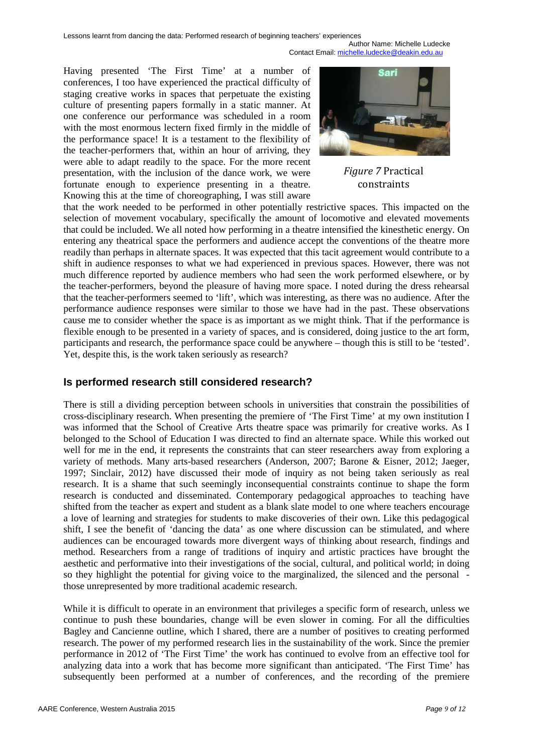Author Name: Michelle Ludecke Contact Email: [michelle.ludecke@deakin.edu.au](mailto:michelle.ludecke@deakin.edu.au)

Having presented 'The First Time' at a number of conferences, I too have experienced the practical difficulty of staging creative works in spaces that perpetuate the existing culture of presenting papers formally in a static manner. At one conference our performance was scheduled in a room with the most enormous lectern fixed firmly in the middle of the performance space! It is a testament to the flexibility of the teacher-performers that, within an hour of arriving, they were able to adapt readily to the space. For the more recent presentation, with the inclusion of the dance work, we were fortunate enough to experience presenting in a theatre. Knowing this at the time of choreographing, I was still aware



*Figure 7* Practical constraints

that the work needed to be performed in other potentially restrictive spaces. This impacted on the selection of movement vocabulary, specifically the amount of locomotive and elevated movements that could be included. We all noted how performing in a theatre intensified the kinesthetic energy. On entering any theatrical space the performers and audience accept the conventions of the theatre more readily than perhaps in alternate spaces. It was expected that this tacit agreement would contribute to a shift in audience responses to what we had experienced in previous spaces. However, there was not much difference reported by audience members who had seen the work performed elsewhere, or by the teacher-performers, beyond the pleasure of having more space. I noted during the dress rehearsal that the teacher-performers seemed to 'lift', which was interesting, as there was no audience. After the performance audience responses were similar to those we have had in the past. These observations cause me to consider whether the space is as important as we might think. That if the performance is flexible enough to be presented in a variety of spaces, and is considered, doing justice to the art form, participants and research, the performance space could be anywhere – though this is still to be 'tested'. Yet, despite this, is the work taken seriously as research?

## **Is performed research still considered research?**

There is still a dividing perception between schools in universities that constrain the possibilities of cross-disciplinary research. When presenting the premiere of 'The First Time' at my own institution I was informed that the School of Creative Arts theatre space was primarily for creative works. As I belonged to the School of Education I was directed to find an alternate space. While this worked out well for me in the end, it represents the constraints that can steer researchers away from exploring a variety of methods. Many arts-based researchers (Anderson, 2007; Barone & Eisner, 2012; Jaeger, 1997; Sinclair, 2012) have discussed their mode of inquiry as not being taken seriously as real research. It is a shame that such seemingly inconsequential constraints continue to shape the form research is conducted and disseminated. Contemporary pedagogical approaches to teaching have shifted from the teacher as expert and student as a blank slate model to one where teachers encourage a love of learning and strategies for students to make discoveries of their own. Like this pedagogical shift, I see the benefit of 'dancing the data' as one where discussion can be stimulated, and where audiences can be encouraged towards more divergent ways of thinking about research, findings and method. Researchers from a range of traditions of inquiry and artistic practices have brought the aesthetic and performative into their investigations of the social, cultural, and political world; in doing so they highlight the potential for giving voice to the marginalized, the silenced and the personal those unrepresented by more traditional academic research.

While it is difficult to operate in an environment that privileges a specific form of research, unless we continue to push these boundaries, change will be even slower in coming. For all the difficulties Bagley and Cancienne outline, which I shared, there are a number of positives to creating performed research. The power of my performed research lies in the sustainability of the work. Since the premier performance in 2012 of 'The First Time' the work has continued to evolve from an effective tool for analyzing data into a work that has become more significant than anticipated. 'The First Time' has subsequently been performed at a number of conferences, and the recording of the premiere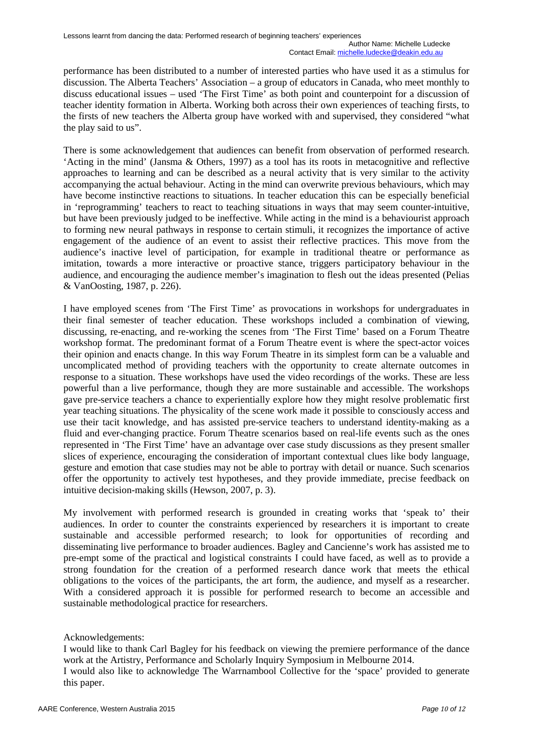performance has been distributed to a number of interested parties who have used it as a stimulus for discussion. The Alberta Teachers' Association – a group of educators in Canada, who meet monthly to discuss educational issues – used 'The First Time' as both point and counterpoint for a discussion of teacher identity formation in Alberta. Working both across their own experiences of teaching firsts, to the firsts of new teachers the Alberta group have worked with and supervised, they considered "what the play said to us".

There is some acknowledgement that audiences can benefit from observation of performed research. 'Acting in the mind' (Jansma & Others, 1997) as a tool has its roots in metacognitive and reflective approaches to learning and can be described as a neural activity that is very similar to the activity accompanying the actual behaviour. Acting in the mind can overwrite previous behaviours, which may have become instinctive reactions to situations. In teacher education this can be especially beneficial in 'reprogramming' teachers to react to teaching situations in ways that may seem counter-intuitive, but have been previously judged to be ineffective. While acting in the mind is a behaviourist approach to forming new neural pathways in response to certain stimuli, it recognizes the importance of active engagement of the audience of an event to assist their reflective practices. This move from the audience's inactive level of participation, for example in traditional theatre or performance as imitation, towards a more interactive or proactive stance, triggers participatory behaviour in the audience, and encouraging the audience member's imagination to flesh out the ideas presented (Pelias & VanOosting, 1987, p. 226).

I have employed scenes from 'The First Time' as provocations in workshops for undergraduates in their final semester of teacher education. These workshops included a combination of viewing, discussing, re-enacting, and re-working the scenes from 'The First Time' based on a Forum Theatre workshop format. The predominant format of a Forum Theatre event is where the spect-actor voices their opinion and enacts change. In this way Forum Theatre in its simplest form can be a valuable and uncomplicated method of providing teachers with the opportunity to create alternate outcomes in response to a situation. These workshops have used the video recordings of the works. These are less powerful than a live performance, though they are more sustainable and accessible. The workshops gave pre-service teachers a chance to experientially explore how they might resolve problematic first year teaching situations. The physicality of the scene work made it possible to consciously access and use their tacit knowledge, and has assisted pre-service teachers to understand identity-making as a fluid and ever-changing practice. Forum Theatre scenarios based on real-life events such as the ones represented in 'The First Time' have an advantage over case study discussions as they present smaller slices of experience, encouraging the consideration of important contextual clues like body language, gesture and emotion that case studies may not be able to portray with detail or nuance. Such scenarios offer the opportunity to actively test hypotheses, and they provide immediate, precise feedback on intuitive decision-making skills (Hewson, 2007, p. 3).

My involvement with performed research is grounded in creating works that 'speak to' their audiences. In order to counter the constraints experienced by researchers it is important to create sustainable and accessible performed research; to look for opportunities of recording and disseminating live performance to broader audiences. Bagley and Cancienne's work has assisted me to pre-empt some of the practical and logistical constraints I could have faced, as well as to provide a strong foundation for the creation of a performed research dance work that meets the ethical obligations to the voices of the participants, the art form, the audience, and myself as a researcher. With a considered approach it is possible for performed research to become an accessible and sustainable methodological practice for researchers.

Acknowledgements:

I would like to thank Carl Bagley for his feedback on viewing the premiere performance of the dance work at the Artistry, Performance and Scholarly Inquiry Symposium in Melbourne 2014.

I would also like to acknowledge The Warrnambool Collective for the 'space' provided to generate this paper.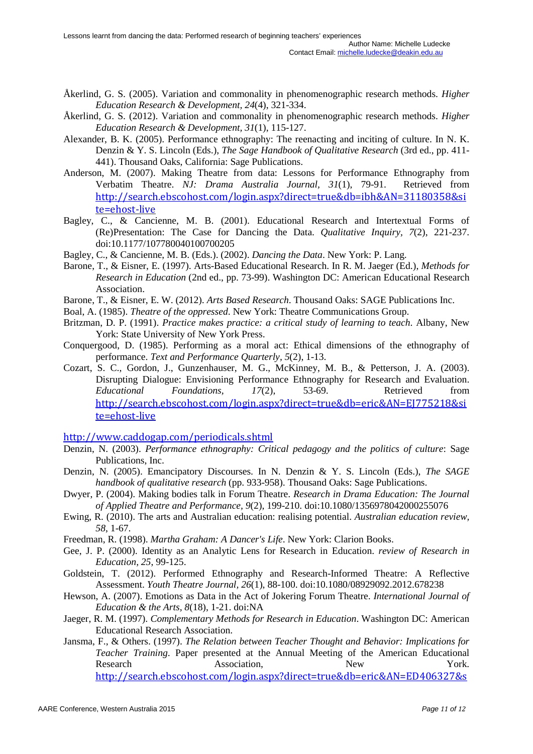- Åkerlind, G. S. (2005). Variation and commonality in phenomenographic research methods. *Higher Education Research & Development, 24*(4), 321-334.
- Åkerlind, G. S. (2012). Variation and commonality in phenomenographic research methods. *Higher Education Research & Development, 31*(1), 115-127.
- Alexander, B. K. (2005). Performance ethnography: The reenacting and inciting of culture. In N. K. Denzin & Y. S. Lincoln (Eds.), *The Sage Handbook of Qualitative Research* (3rd ed., pp. 411- 441). Thousand Oaks, California: Sage Publications.
- Anderson, M. (2007). Making Theatre from data: Lessons for Performance Ethnography from Verbatim Theatre. *NJ: Drama Australia Journal, 31*(1), 79-91. Retrieved from [http://search.ebscohost.com/login.aspx?direct=true&db=ibh&AN=31180358&si](http://search.ebscohost.com/login.aspx?direct=true&db=ibh&AN=31180358&site=ehost-live) [te=ehost-live](http://search.ebscohost.com/login.aspx?direct=true&db=ibh&AN=31180358&site=ehost-live)
- Bagley, C., & Cancienne, M. B. (2001). Educational Research and Intertextual Forms of (Re)Presentation: The Case for Dancing the Data. *Qualitative Inquiry, 7*(2), 221-237. doi:10.1177/107780040100700205
- Bagley, C., & Cancienne, M. B. (Eds.). (2002). *Dancing the Data*. New York: P. Lang.
- Barone, T., & Eisner, E. (1997). Arts-Based Educational Research. In R. M. Jaeger (Ed.), *Methods for Research in Education* (2nd ed., pp. 73-99). Washington DC: American Educational Research Association.
- Barone, T., & Eisner, E. W. (2012). *Arts Based Research*. Thousand Oaks: SAGE Publications Inc.
- Boal, A. (1985). *Theatre of the oppressed*. New York: Theatre Communications Group.
- Britzman, D. P. (1991). *Practice makes practice: a critical study of learning to teach*. Albany, New York: State University of New York Press.
- Conquergood, D. (1985). Performing as a moral act: Ethical dimensions of the ethnography of performance. *Text and Performance Quarterly, 5*(2), 1-13.
- Cozart, S. C., Gordon, J., Gunzenhauser, M. G., McKinney, M. B., & Petterson, J. A. (2003). Disrupting Dialogue: Envisioning Performance Ethnography for Research and Evaluation. *Educational Foundations, 17*(2), 53-69. Retrieved from [http://search.ebscohost.com/login.aspx?direct=true&db=eric&AN=EJ775218&si](http://search.ebscohost.com/login.aspx?direct=true&db=eric&AN=EJ775218&site=ehost-live) [te=ehost-live](http://search.ebscohost.com/login.aspx?direct=true&db=eric&AN=EJ775218&site=ehost-live)

<http://www.caddogap.com/periodicals.shtml>

- Denzin, N. (2003). *Performance ethnography: Critical pedagogy and the politics of culture*: Sage Publications, Inc.
- Denzin, N. (2005). Emancipatory Discourses. In N. Denzin & Y. S. Lincoln (Eds.), *The SAGE handbook of qualitative research* (pp. 933-958). Thousand Oaks: Sage Publications.
- Dwyer, P. (2004). Making bodies talk in Forum Theatre. *Research in Drama Education: The Journal of Applied Theatre and Performance, 9*(2), 199-210. doi:10.1080/1356978042000255076
- Ewing, R. (2010). The arts and Australian education: realising potential. *Australian education review, 58*, 1-67.
- Freedman, R. (1998). *Martha Graham: A Dancer's Life*. New York: Clarion Books.
- Gee, J. P. (2000). Identity as an Analytic Lens for Research in Education. *review of Research in Education, 25*, 99-125.
- Goldstein, T. (2012). Performed Ethnography and Research-Informed Theatre: A Reflective Assessment. *Youth Theatre Journal, 26*(1), 88-100. doi:10.1080/08929092.2012.678238
- Hewson, A. (2007). Emotions as Data in the Act of Jokering Forum Theatre. *International Journal of Education & the Arts, 8*(18), 1-21. doi:NA
- Jaeger, R. M. (1997). *Complementary Methods for Research in Education*. Washington DC: American Educational Research Association.
- Jansma, F., & Others. (1997). *The Relation between Teacher Thought and Behavior: Implications for Teacher Training*. Paper presented at the Annual Meeting of the American Educational Research Association, New New York. [http://search.ebscohost.com/login.aspx?direct=true&db=eric&AN=ED406327&s](http://search.ebscohost.com/login.aspx?direct=true&db=eric&AN=ED406327&site=ehost-live)